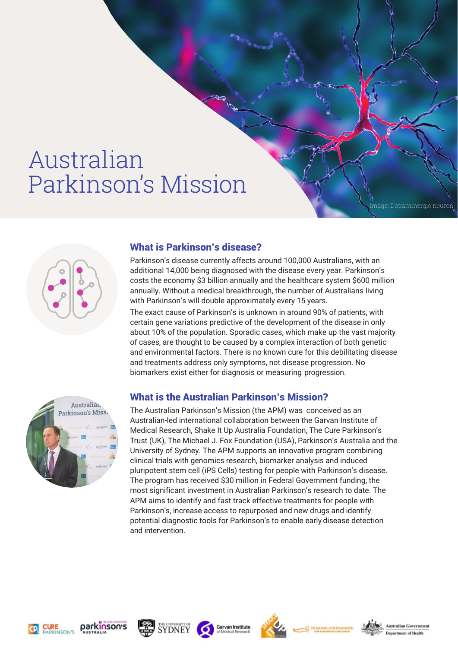# Australian Parkinson's Mission



### What is Parkinson's disease?

Parkinson's disease currently affects around 100,000 Australians, with an additional 14,000 being diagnosed with the disease every year. Parkinson's costs the economy \$3 billion annually and the healthcare system \$600 million annually. Without a medical breakthrough, the number of Australians living with Parkinson's will double approximately every 15 years.

The exact cause of Parkinson's is unknown in around 90% of patients, with certain gene variations predictive of the development of the disease in only about 10% of the population. Sporadic cases, which make up the vast majority of cases, are thought to be caused by a complex interaction of both genetic and environmental factors. There is no known cure for this debilitating disease and treatments address only symptoms, not disease progression. No biomarkers exist either for diagnosis or measuring progression.



# What is the Australian Parkinson's Mission?

The Australian Parkinson's Mission (the APM) was conceived as an Australian-led international collaboration between the Garvan Institute of Medical Research, Shake It Up Australia Foundation, The Cure Parkinson's Trust (UK), The Michael J. Fox Foundation (USA), Parkinson's Australia and the University of Sydney. The APM supports an innovative program combining clinical trials with genomics research, biomarker analysis and induced pluripotent stem cell (iPS Cells) testing for people with Parkinson's disease. The program has received \$30 million in Federal Government funding, the most significant investment in Australian Parkinson's research to date. The APM aims to identify and fast track effective treatments for people with Parkinson's, increase access to repurposed and new drugs and identify potential diagnostic tools for Parkinson's to enable early disease detection and intervention.













Image: Dopaminergic neuron